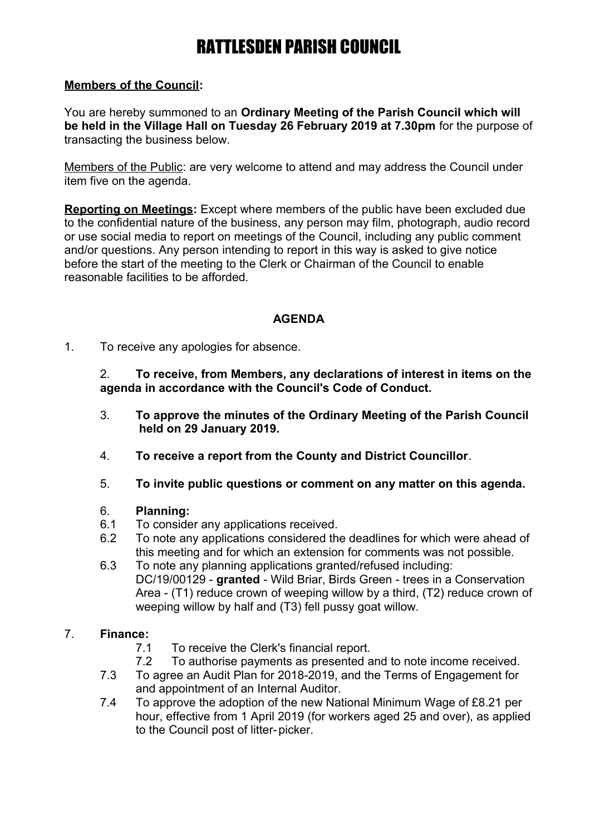## **Members of the Council:**

You are hereby summoned to an **Ordinary Meeting of the Parish Council which will be held in the Village Hall on Tuesday 26 February 2019 at 7.30pm** for the purpose of transacting the business below.

Members of the Public: are very welcome to attend and may address the Council under item five on the agenda.

**Reporting on Meetings:** Except where members of the public have been excluded due to the confidential nature of the business, any person may film, photograph, audio record or use social media to report on meetings of the Council, including any public comment and/or questions. Any person intending to report in this way is asked to give notice before the start of the meeting to the Clerk or Chairman of the Council to enable reasonable facilities to be afforded.

## **AGENDA**

1. To receive any apologies for absence.

2. **To receive, from Members, any declarations of interest in items on the agenda in accordance with the Council's Code of Conduct.**

- 3. **To approve the minutes of the Ordinary Meeting of the Parish Council held on 29 January 2019.**
- 4. **To receive a report from the County and District Councillor**.
- 5. **To invite public questions or comment on any matter on this agenda.**

### 6. **Planning:**

- 6.1 To consider any applications received.
- 6.2 To note any applications considered the deadlines for which were ahead of this meeting and for which an extension for comments was not possible.
- 6.3 To note any planning applications granted/refused including: DC/19/00129 - **granted** - Wild Briar, Birds Green - trees in a Conservation Area - (T1) reduce crown of weeping willow by a third, (T2) reduce crown of weeping willow by half and (T3) fell pussy goat willow.

## 7. **Finance:**

- 7.1 To receive the Clerk's financial report.
- 7.2 To authorise payments as presented and to note income received.
- 7.3 To agree an Audit Plan for 2018-2019, and the Terms of Engagement for and appointment of an Internal Auditor.
- 7.4 To approve the adoption of the new National Minimum Wage of £8.21 per hour, effective from 1 April 2019 (for workers aged 25 and over), as applied to the Council post of litter-picker.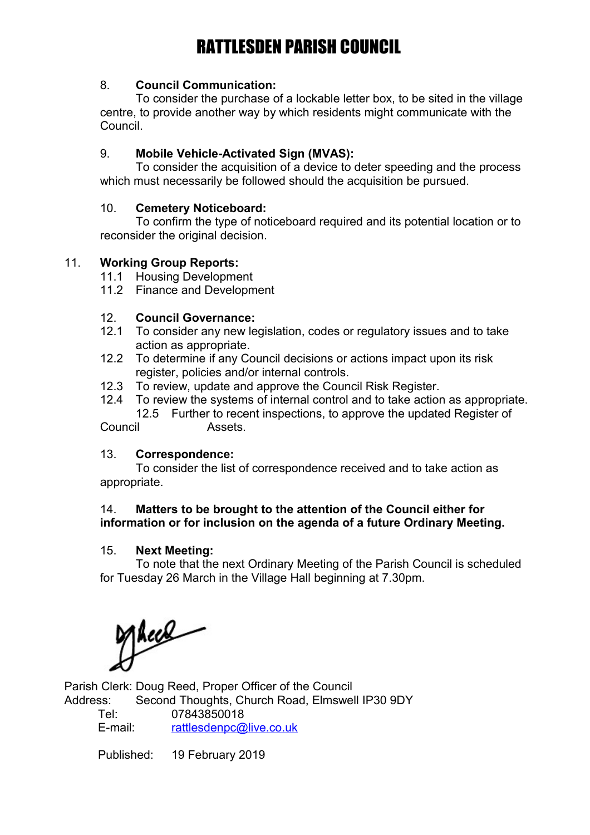## 8. **Council Communication:**

To consider the purchase of a lockable letter box, to be sited in the village centre, to provide another way by which residents might communicate with the Council.

## 9. **Mobile Vehicle-Activated Sign (MVAS):**

To consider the acquisition of a device to deter speeding and the process which must necessarily be followed should the acquisition be pursued.

### 10. **Cemetery Noticeboard:**

To confirm the type of noticeboard required and its potential location or to reconsider the original decision.

## 11. **Working Group Reports:**

- 11.1 Housing Development
- 11.2 Finance and Development

## 12. **Council Governance:**

- 12.1 To consider any new legislation, codes or regulatory issues and to take action as appropriate.
- 12.2 To determine if any Council decisions or actions impact upon its risk register, policies and/or internal controls.
- 12.3 To review, update and approve the Council Risk Register.
- 12.4 To review the systems of internal control and to take action as appropriate. 12.5 Further to recent inspections, to approve the updated Register of

Council Assets.

### 13. **Correspondence:**

To consider the list of correspondence received and to take action as appropriate.

## 14. **Matters to be brought to the attention of the Council either for information or for inclusion on the agenda of a future Ordinary Meeting.**

### 15. **Next Meeting:**

To note that the next Ordinary Meeting of the Parish Council is scheduled for Tuesday 26 March in the Village Hall beginning at 7.30pm.

Meas

Parish Clerk: Doug Reed, Proper Officer of the Council Address: Second Thoughts, Church Road, Elmswell IP30 9DY

Tel: 07843850018 E-mail: [rattlesdenpc@live.co.uk](mailto:rattlesdenpc@live.co.uk)

Published: 19 February 2019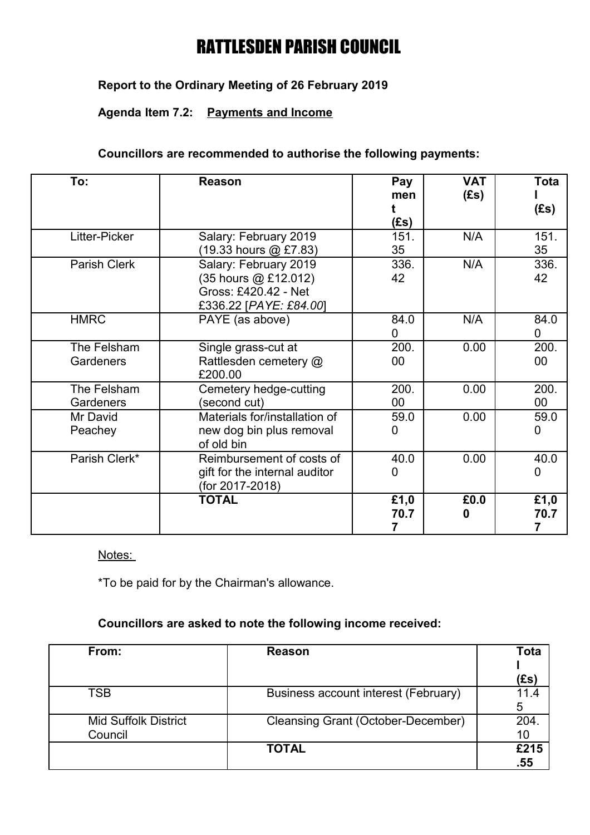# **Report to the Ordinary Meeting of 26 February 2019**

# **Agenda Item 7.2: Payments and Income**

## **Councillors are recommended to authorise the following payments:**

| To:                      | Reason                                                                                          | Pay<br>men<br>(£s) | <b>VAT</b><br>(Es) | <b>Tota</b><br>(Es)    |
|--------------------------|-------------------------------------------------------------------------------------------------|--------------------|--------------------|------------------------|
| Litter-Picker            | Salary: February 2019<br>(19.33 hours @ £7.83)                                                  | 151.<br>35         | N/A                | 151.<br>35             |
| Parish Clerk             | Salary: February 2019<br>(35 hours @ £12.012)<br>Gross: £420.42 - Net<br>£336.22 [PAYE: £84.00] | 336.<br>42         | N/A                | 336.<br>42             |
| <b>HMRC</b>              | PAYE (as above)                                                                                 | 84.0<br>0          | N/A                | 84.0<br>0              |
| The Felsham<br>Gardeners | Single grass-cut at<br>Rattlesden cemetery @<br>£200.00                                         | 200.<br>$00\,$     | 0.00               | 200.<br>00             |
| The Felsham<br>Gardeners | Cemetery hedge-cutting<br>(second cut)                                                          | 200.<br>$00\,$     | 0.00               | 200.<br>$00\,$         |
| Mr David<br>Peachey      | Materials for/installation of<br>new dog bin plus removal<br>of old bin                         | 59.0<br>0          | 0.00               | 59.0<br>0              |
| Parish Clerk*            | Reimbursement of costs of<br>gift for the internal auditor<br>(for 2017-2018)                   | 40.0<br>0          | 0.00               | 40.0<br>$\overline{0}$ |
|                          | <b>TOTAL</b>                                                                                    | £1,0<br>70.7<br>7  | £0.0<br>O          | £1,0<br>70.7<br>7      |

#### Notes:

\*To be paid for by the Chairman's allowance.

## **Councillors are asked to note the following income received:**

| From:                                  | Reason                                    | Tota        |
|----------------------------------------|-------------------------------------------|-------------|
|                                        |                                           | (£s)        |
| TSB                                    | Business account interest (February)      | 5           |
| <b>Mid Suffolk District</b><br>Council | <b>Cleansing Grant (October-December)</b> | 204<br>10   |
|                                        | <b>TOTAL</b>                              | £215<br>.55 |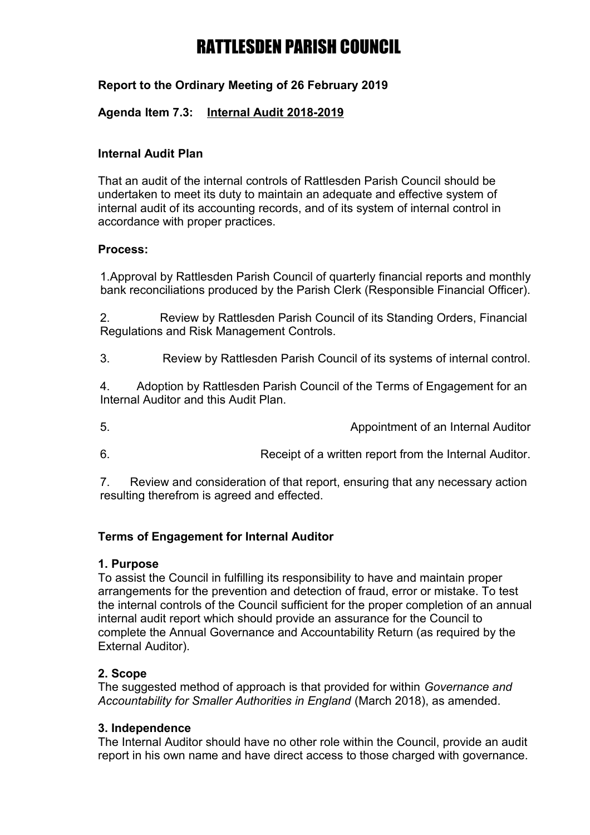# **Report to the Ordinary Meeting of 26 February 2019**

## **Agenda Item 7.3: Internal Audit 2018-2019**

### **Internal Audit Plan**

That an audit of the internal controls of Rattlesden Parish Council should be undertaken to meet its duty to maintain an adequate and effective system of internal audit of its accounting records, and of its system of internal control in accordance with proper practices.

### **Process:**

1.Approval by Rattlesden Parish Council of quarterly financial reports and monthly bank reconciliations produced by the Parish Clerk (Responsible Financial Officer).

2. Review by Rattlesden Parish Council of its Standing Orders, Financial Regulations and Risk Management Controls.

3. Review by Rattlesden Parish Council of its systems of internal control.

4. Adoption by Rattlesden Parish Council of the Terms of Engagement for an Internal Auditor and this Audit Plan.

5. Appointment of an Internal Auditor

6. Receipt of a written report from the Internal Auditor.

7. Review and consideration of that report, ensuring that any necessary action resulting therefrom is agreed and effected.

### **Terms of Engagement for Internal Auditor**

### **1. Purpose**

To assist the Council in fulfilling its responsibility to have and maintain proper arrangements for the prevention and detection of fraud, error or mistake. To test the internal controls of the Council sufficient for the proper completion of an annual internal audit report which should provide an assurance for the Council to complete the Annual Governance and Accountability Return (as required by the External Auditor).

### **2. Scope**

The suggested method of approach is that provided for within *Governance and Accountability for Smaller Authorities in England* (March 2018), as amended.

### **3. Independence**

The Internal Auditor should have no other role within the Council, provide an audit report in his own name and have direct access to those charged with governance.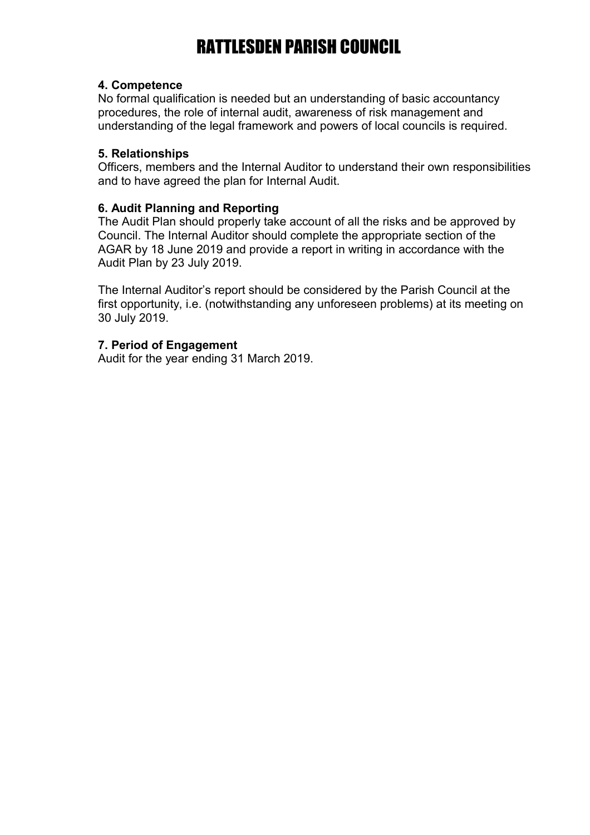### **4. Competence**

No formal qualification is needed but an understanding of basic accountancy procedures, the role of internal audit, awareness of risk management and understanding of the legal framework and powers of local councils is required.

## **5. Relationships**

Officers, members and the Internal Auditor to understand their own responsibilities and to have agreed the plan for Internal Audit.

### **6. Audit Planning and Reporting**

The Audit Plan should properly take account of all the risks and be approved by Council. The Internal Auditor should complete the appropriate section of the AGAR by 18 June 2019 and provide a report in writing in accordance with the Audit Plan by 23 July 2019.

The Internal Auditor's report should be considered by the Parish Council at the first opportunity, i.e. (notwithstanding any unforeseen problems) at its meeting on 30 July 2019.

## **7. Period of Engagement**

Audit for the year ending 31 March 2019.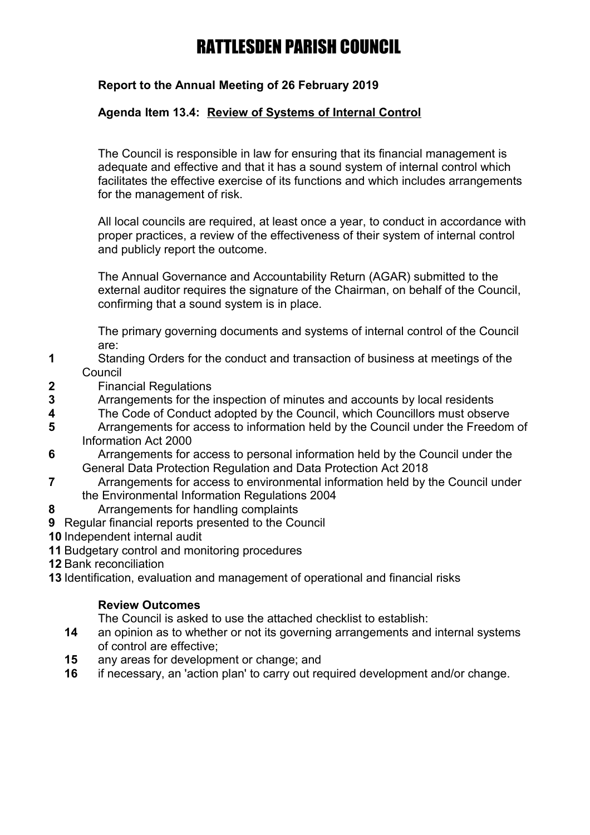# **Report to the Annual Meeting of 26 February 2019**

# **Agenda Item 13.4: Review of Systems of Internal Control**

The Council is responsible in law for ensuring that its financial management is adequate and effective and that it has a sound system of internal control which facilitates the effective exercise of its functions and which includes arrangements for the management of risk.

All local councils are required, at least once a year, to conduct in accordance with proper practices, a review of the effectiveness of their system of internal control and publicly report the outcome.

The Annual Governance and Accountability Return (AGAR) submitted to the external auditor requires the signature of the Chairman, on behalf of the Council, confirming that a sound system is in place.

The primary governing documents and systems of internal control of the Council are:

- **1** Standing Orders for the conduct and transaction of business at meetings of the Council
- **2** Financial Regulations
- **3** Arrangements for the inspection of minutes and accounts by local residents
- **4** The Code of Conduct adopted by the Council, which Councillors must observe
- **5** Arrangements for access to information held by the Council under the Freedom of Information Act 2000
- **6** Arrangements for access to personal information held by the Council under the General Data Protection Regulation and Data Protection Act 2018
- **7** Arrangements for access to environmental information held by the Council under the Environmental Information Regulations 2004
- **8** Arrangements for handling complaints
- **9** Regular financial reports presented to the Council
- **10** Independent internal audit
- **11** Budgetary control and monitoring procedures
- **12** Bank reconciliation
- **13** Identification, evaluation and management of operational and financial risks

## **Review Outcomes**

The Council is asked to use the attached checklist to establish:

- **14** an opinion as to whether or not its governing arrangements and internal systems of control are effective;
- **15** any areas for development or change; and
- **16** if necessary, an 'action plan' to carry out required development and/or change.